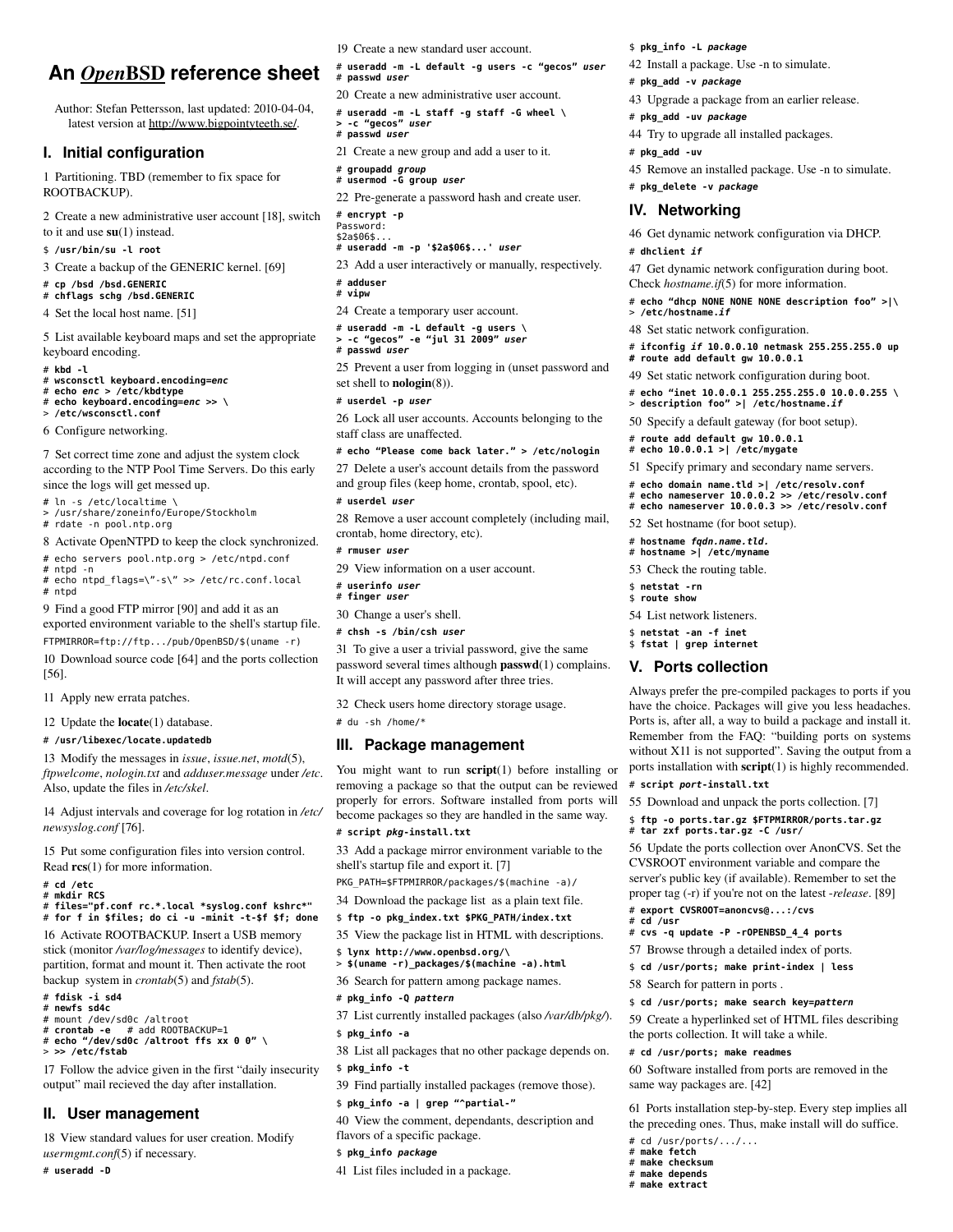# **An**  *Open*  BSD**reference sheet**

Author: Stefan Pettersson, last updated: 2010-04-04, latest version at http://www.bigpointyteeth.se/.

#### **I. Initial configuration**

1 Partitioning. TBD (remember to fix space for ROOTBACKUP).

2 Create a new administrative user account [18], switch to it and use su(1) instead.

\$ **/usr/bin/su -l root**

3 Create a backup of the GENERIC kernel. [69]

# **cp /bsd /bsd.GENERIC**

# **chflags schg /bsd.GENERIC**

4 Set the local host name. [51]

5 List available keyboard maps and set the appropriate keyboard encoding.

# **kbd -l**

# **wsconsctl keyboard.encoding=***enc* # **echo** *enc* **> /etc/kbdtype**

# **echo keyboard.encoding=***enc* **>> \**

> **/etc/wsconsctl.conf**

6 Configure networking.

7 Set correct time zone and adjust the system clock according to the NTP Pool Time Servers. Do this early since the logs will get messed up.

# ln -s /etc/localtime \

> /usr/share/zoneinfo/Europe/Stockholm

# rdate -n pool.ntp.org

8 Activate OpenNTPD to keep the clock synchronized. # echo servers pool.ntp.org > /etc/ntpd.conf

- # ntpd -n
- # echo ntpd\_flags=\"-s\" >> /etc/rc.conf.local # ntpd

9 Find a good FTP mirror [90] and add it as an exported environment variable to the shell's startup file.

FTPMIRROR=ftp://ftp.../pub/OpenBSD/\$(uname -r) 10 Download source code [64] and the ports collection [56].

11 Apply new errata patches.

12 Update the locate(1) database.

#### # **/usr/libexec/locate.updatedb**

13 Modify the messages in *issue*, *issue.net*, *motd*(5), *ftpwelcome*, *nologin.txt* and *adduser.message* under */etc*. Also, update the files in */etc/skel*.

14 Adjust intervals and coverage for log rotation in */etc/ newsyslog.conf* [76].

15 Put some configuration files into version control. Read  $res(1)$  for more information.

# **cd /etc** # **mkdir RCS**

# **files="pf.conf rc.\*.local \*syslog.conf kshrc\*"**  # **for f in \$files; do ci -u -minit -t-\$f \$f; done**

16 Activate ROOTBACKUP. Insert a USB memory stick (monitor */var/log/messages* to identify device), partition, format and mount it. Then activate the root backup system in *crontab*(5) and *fstab*(5).

- # **fdisk -i sd4** # **newfs sd4c**
- # mount /dev/sd0c /altroot
- # **crontab -e** # add ROOTBACKUP=1 # **echo "/dev/sd0c /altroot ffs xx 0 0" \**
- > **>> /etc/fstab**

17 Follow the advice given in the first "daily insecurity output" mail recieved the day after installation.

#### **II. User management**

18 View standard values for user creation. Modify *usermgmt.conf*(5) if necessary.

# **useradd -D**

19 Create a new standard user account.

# **useradd -m -L default -g users -c "gecos"** *user* # **passwd** *user*

20 Create a new administrative user account. # **useradd -m -L staff -g staff -G wheel \ > -c "gecos"** *user*

# **passwd** *user*

21 Create a new group and add a user to it.

# **groupadd** *group* # **usermod -G group** *user*

22 Pre-generate a password hash and create user.

# **encrypt -p** Password:

\$2a\$06\$...

# **useradd -m -p '\$2a\$06\$...'** *user*

23 Add a user interactively or manually, respectively.

# **adduser** # **vipw**

24 Create a temporary user account.

# **useradd -m -L default -g users \ > -c "gecos" -e "jul 31 2009"** *user* # **passwd** *user*

25 Prevent a user from logging in (unset password and set shell to **nologin** $(8)$ ).

# **userdel -p** *user*

26 Lock all user accounts. Accounts belonging to the staff class are unaffected.

# **echo "Please come back later." > /etc/nologin**

27 Delete a user's account details from the password and group files (keep home, crontab, spool, etc).

#### # **userdel** *user*

28 Remove a user account completely (including mail, crontab, home directory, etc).

# **rmuser** *user*

29 View information on a user account.

#### # **userinfo** *user* # **finger** *user*

30 Change a user's shell. # **chsh -s /bin/csh** *user*

31 To give a user a trivial password, give the same password several times although passwd(1) complains. It will accept any password after three tries.

32 Check users home directory storage usage.

# du -sh /home/\*

#### **III. Package management**

You might want to run  $script(1)$  before installing or removing a package so that the output can be reviewed properly for errors. Software installed from ports will 55 Download and unpack the ports collection. [7] become packages so they are handled in the same way.

#### # **script** *pkg***-install.txt**

33 Add a package mirror environment variable to the shell's startup file and export it. [7]

PKG\_PATH=\$FTPMIRROR/packages/\$(machine -a)/

- 34 Download the package list as a plain text file.
- \$ **ftp -o pkg\_index.txt \$PKG\_PATH/index.txt**

35 View the package list in HTML with descriptions.

\$ **lynx http://www.openbsd.org/\**

> **\$(uname -r)\_packages/\$(machine -a).html**

36 Search for pattern among package names.

#### # **pkg\_info -Q** *pattern*

37 List currently installed packages (also */var/db/pkg/*). \$ **pkg\_info -a**

38 List all packages that no other package depends on. \$ **pkg\_info -t**

39 Find partially installed packages (remove those). \$ **pkg\_info -a | grep "^partial-"**

40 View the comment, dependants, description and flavors of a specific package.

#### \$ **pkg\_info** *package*

41 List files included in a package.

\$ **pkg\_info -L** *package*

42 Install a package. Use -n to simulate.

#### # **pkg\_add -v** *package*

43 Upgrade a package from an earlier release.

# **pkg\_add -uv** *package*

44 Try to upgrade all installed packages.

# **pkg\_add -uv**

45 Remove an installed package. Use -n to simulate. # **pkg\_delete -v** *package*

### **IV. Networking**

> **/etc/hostname.***if*

46 Get dynamic network configuration via DHCP. # **dhclient** *if* 47 Get dynamic network configuration during boot.

# **ifconfig** *if* **10.0.0.10 netmask 255.255.255.0 up # route add default gw 10.0.0.1** 49 Set static network configuration during boot. # **echo "inet 10.0.0.1 255.255.255.0 10.0.0.255 \** > **description foo" >| /etc/hostname.***if* 50 Specify a default gateway (for boot setup).

51 Specify primary and secondary name servers. # **echo domain name.tld >| /etc/resolv.conf** # **echo nameserver 10.0.0.2 >> /etc/resolv.conf** # **echo nameserver 10.0.0.3 >> /etc/resolv.conf**

Always prefer the precompiled packages to ports if you have the choice. Packages will give you less headaches. Ports is, after all, a way to build a package and install it. Remember from the FAQ: "building ports on systems without X11 is not supported". Saving the output from a ports installation with script(1) is highly recommended.

\$ **ftp -o ports.tar.gz \$FTPMIRROR/ports.tar.gz**

56 Update the ports collection over AnonCVS. Set the CVSROOT environment variable and compare the server's public key (if available). Remember to set the proper tag (-r) if you're not on the latest *-release*. [89]

Check *hostname.if*(5) for more information. # **echo "dhcp NONE NONE NONE description foo" >|\**

48 Set static network configuration.

# **route add default gw 10.0.0.1** # **echo 10.0.0.1 >| /etc/mygate**

52 Set hostname (for boot setup). # **hostname** *fqdn.name.tld.* # **hostname >| /etc/myname** 53 Check the routing table.

\$ **netstat -rn** \$ **route show**

54 List network listeners. \$ **netstat -an -f inet** \$ **fstat | grep internet V. Ports collection**

# **script** *port***-install.txt**

# **cd /usr**

# **tar zxf ports.tar.gz -C /usr/**

# **export CVSROOT=anoncvs@...:/cvs**

58 Search for pattern in ports .

same way packages are. [42]

# cd /usr/ports/.../... # **make fetch** # **make checksum** make depends # **make extract**

# **cvs -q update -P -rOPENBSD\_4\_4 ports** 57 Browse through a detailed index of ports. \$ **cd /usr/ports; make print-index | less**

\$ **cd /usr/ports; make search key=***pattern* 59 Create a hyperlinked set of HTML files describing

60 Software installed from ports are removed in the

61 Ports installation step-by-step. Every step implies all the preceding ones. Thus, make install will do suffice.

the ports collection. It will take a while. # **cd /usr/ports; make readmes**